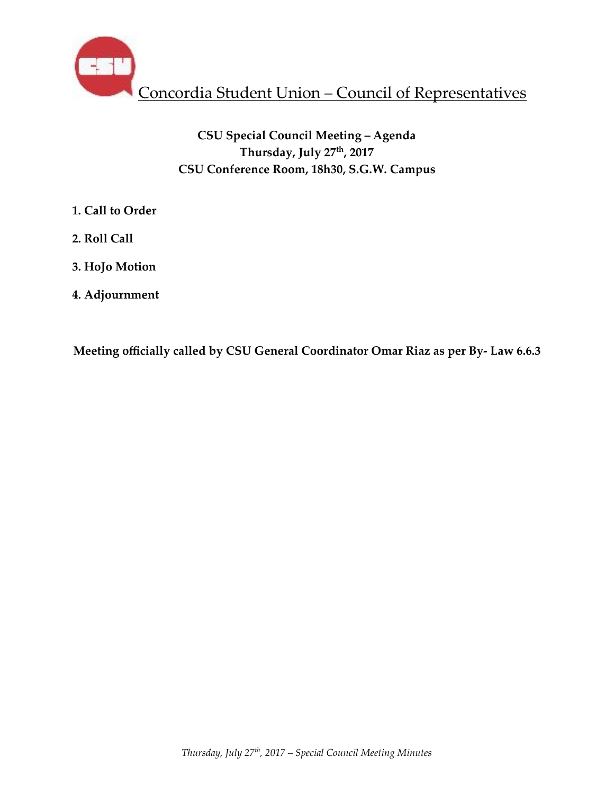

# **CSU Special Council Meeting – Agenda Thursday, July 27th, 2017 CSU Conference Room, 18h30, S.G.W. Campus**

- **1. Call to Order**
- **2. Roll Call**
- **3. HoJo Motion**
- **4. Adjournment**

**Meeting officially called by CSU General Coordinator Omar Riaz as per By- Law 6.6.3**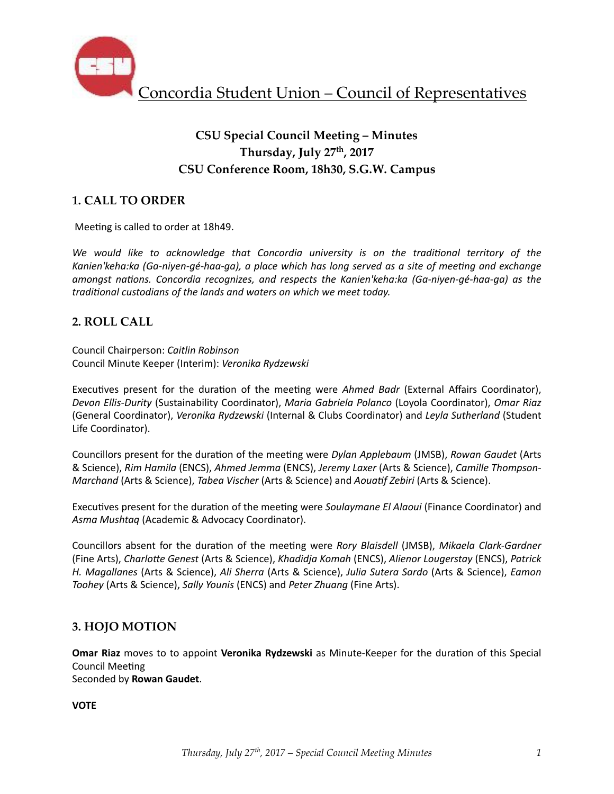

# **CSU Special Council Meeting – Minutes Thursday, July 27th, 2017 CSU Conference Room, 18h30, S.G.W. Campus**

## **1. CALL TO ORDER**

Meeting is called to order at 18h49.

We would like to acknowledge that Concordia university is on the traditional territory of the Kanien'keha:ka (Ga-niyen-gé-haa-ga), a place which has long served as a site of meeting and exchange *amongst nations. Concordia recognizes, and respects the Kanien'keha:ka (Ga-niyen-gé-haa-ga)* as the *traditional custodians of the lands and waters on which we meet today.* 

### **2. ROLL CALL**

Council Chairperson: *Caitlin Robinson* Council Minute Keeper (Interim): *Veronika Rydzewski*

Executives present for the duration of the meeting were *Ahmed Badr* (External Affairs Coordinator), *Devon Ellis-Durity* (Sustainability Coordinator), *Maria Gabriela Polanco* (Loyola Coordinator), *Omar Riaz* (General Coordinator), *Veronika Rydzewski* (Internal & Clubs Coordinator) and *Leyla Sutherland* (Student Life Coordinator).

Councillors present for the duration of the meeting were *Dylan Applebaum* (JMSB), Rowan Gaudet (Arts & Science), *Rim Hamila* (ENCS), *Ahmed Jemma* (ENCS), *Jeremy Laxer* (Arts & Science), *Camille Thompson-Marchand* (Arts & Science), *Tabea Vischer* (Arts & Science) and *Aouatif Zebiri* (Arts & Science).

Executives present for the duration of the meeting were *Soulaymane El Alaoui* (Finance Coordinator) and *Asma Mushtaq* (Academic & Advocacy Coordinator). 

Councillors absent for the duration of the meeting were *Rory Blaisdell* (JMSB), Mikaela Clark-Gardner (Fine Arts), *Charlotte Genest* (Arts & Science), *Khadidja Komah* (ENCS), *Alienor Lougerstay* (ENCS), *Patrick H. Magallanes* (Arts & Science), *Ali Sherra* (Arts & Science), *Julia Sutera Sardo* (Arts & Science), *Eamon Toohey* (Arts & Science), *Sally Younis* (ENCS) and *Peter Zhuang* (Fine Arts).

### **3. HOJO MOTION**

**Omar Riaz** moves to to appoint **Veronika Rydzewski** as Minute-Keeper for the duration of this Special Council Meeting

Seconded by **Rowan Gaudet**. 

**VOTE**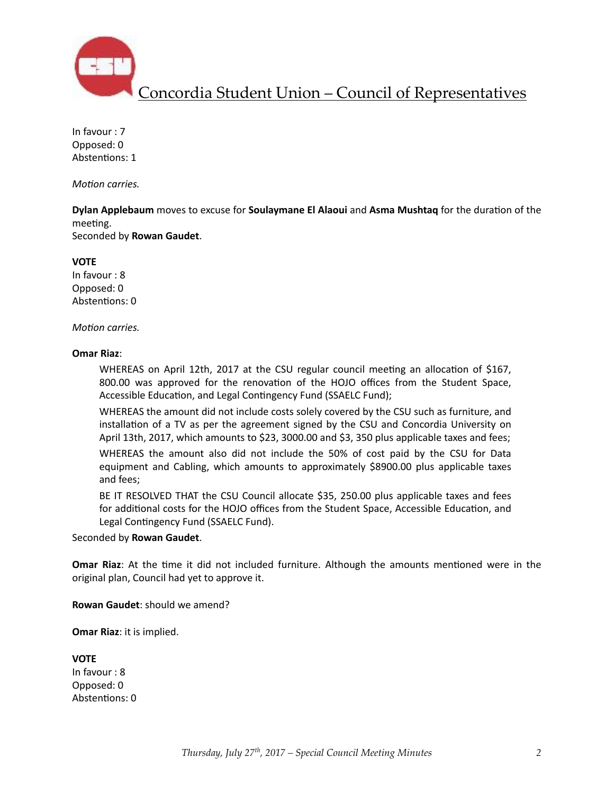

Concordia Student Union – Council of Representatives

In favour : 7 Opposed: 0 Abstentions: 1

*Motion carries.* 

**Dylan Applebaum** moves to excuse for **Soulaymane El Alaoui** and Asma Mushtaq for the duration of the meeting.

Seconded by **Rowan Gaudet**. 

**VOTE** 

In favour : 8 Opposed: 0 Abstentions: 0

#### *Motion carries.*

#### **Omar Riaz**:

WHEREAS on April 12th, 2017 at the CSU regular council meeting an allocation of \$167, 800.00 was approved for the renovation of the HOJO offices from the Student Space, Accessible Education, and Legal Contingency Fund (SSAELC Fund);

WHEREAS the amount did not include costs solely covered by the CSU such as furniture, and installation of a TV as per the agreement signed by the CSU and Concordia University on April 13th, 2017, which amounts to \$23, 3000.00 and \$3, 350 plus applicable taxes and fees;

WHEREAS the amount also did not include the 50% of cost paid by the CSU for Data equipment and Cabling, which amounts to approximately \$8900.00 plus applicable taxes and fees;

BE IT RESOLVED THAT the CSU Council allocate \$35, 250.00 plus applicable taxes and fees for additional costs for the HOJO offices from the Student Space, Accessible Education, and Legal Contingency Fund (SSAELC Fund).

Seconded by **Rowan Gaudet**. 

**Omar Riaz**: At the time it did not included furniture. Although the amounts mentioned were in the original plan, Council had yet to approve it.

**Rowan Gaudet:** should we amend?

**Omar Riaz: it is implied.** 

**VOTE** 

In favour : 8 Opposed: 0 Abstentions: 0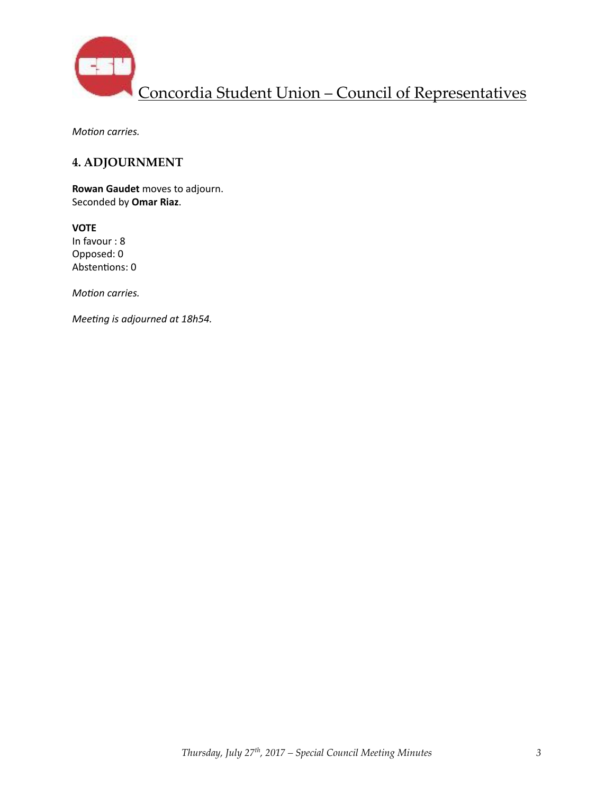

*Motion carries.* 

### **4. ADJOURNMENT**

**Rowan Gaudet** moves to adjourn. Seconded by **Omar Riaz**. 

**VOTE** In favour : 8 Opposed: 0 Abstentions: 0

*Motion carries.* 

*Meeting is adjourned at 18h54.*